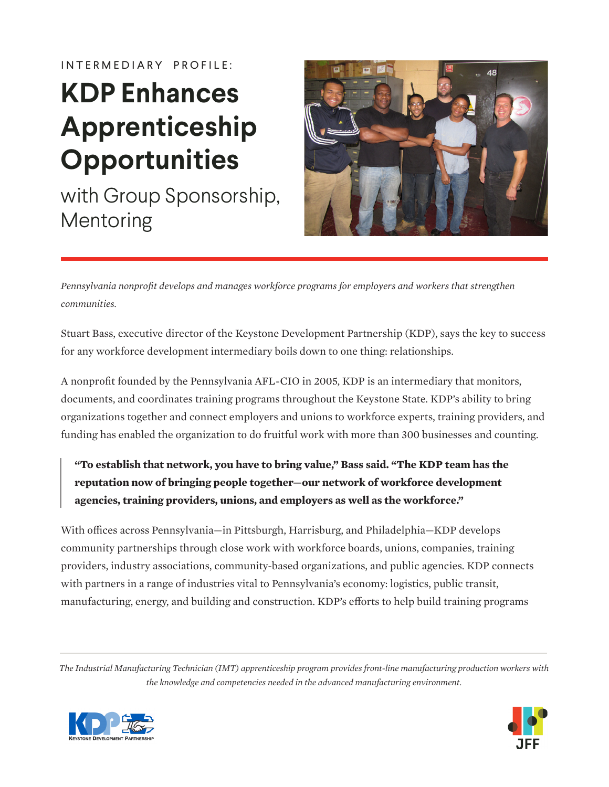IN TERMEDIARY PROFILE:

# **KDP Enhances Apprenticeship Opportunities**

with Group Sponsorship, Mentoring



*Pennsylvania nonprofit develops and manages workforce programs for employers and workers that strengthen communities.* 

Stuart Bass, executive director of the Keystone Development Partnership (KDP), says the key to success for any workforce development intermediary boils down to one thing: relationships.

A nonprofit founded by the Pennsylvania AFL-CIO in 2005, KDP is an intermediary that monitors, documents, and coordinates training programs throughout the Keystone State. KDP's ability to bring organizations together and connect employers and unions to workforce experts, training providers, and funding has enabled the organization to do fruitful work with more than 300 businesses and counting.

### **"To establish that network, you have to bring value," Bass said. "The KDP team has the reputation now of bringing people together—our network of workforce development agencies, training providers, unions, and employers as well as the workforce."**

With offices across Pennsylvania—in Pittsburgh, Harrisburg, and Philadelphia—KDP develops community partnerships through close work with workforce boards, unions, companies, training providers, industry associations, community-based organizations, and public agencies. KDP connects with partners in a range of industries vital to Pennsylvania's economy: logistics, public transit, manufacturing, energy, and building and construction. KDP's efforts to help build training programs

*The Industrial Manufacturing Technician (IMT) apprenticeship program provides front-line manufacturing production workers with the knowledge and competencies needed in the advanced manufacturing environment.*



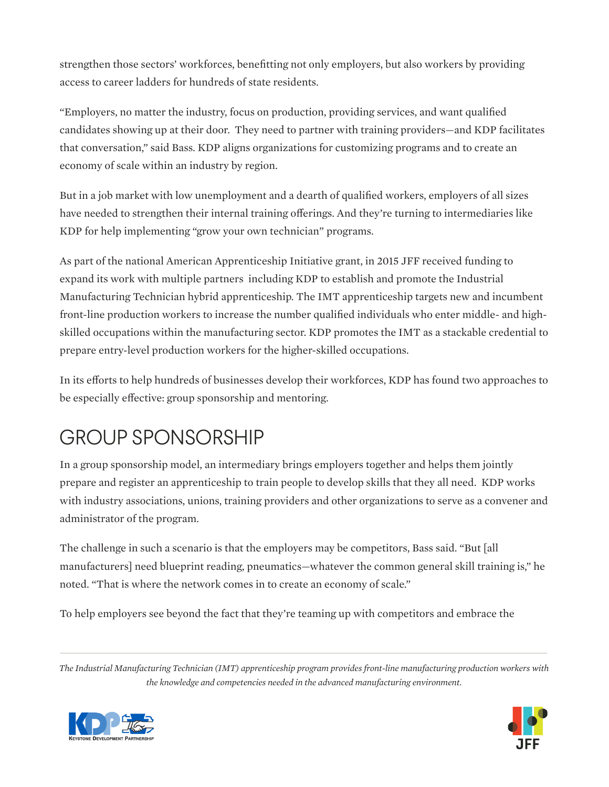strengthen those sectors' workforces, benefitting not only employers, but also workers by providing access to career ladders for hundreds of state residents.

"Employers, no matter the industry, focus on production, providing services, and want qualified candidates showing up at their door. They need to partner with training providers—and KDP facilitates that conversation," said Bass. KDP aligns organizations for customizing programs and to create an economy of scale within an industry by region.

But in a job market with low unemployment and a dearth of qualified workers, employers of all sizes have needed to strengthen their internal training offerings. And they're turning to intermediaries like KDP for help implementing "grow your own technician" programs.

As part of the national American Apprenticeship Initiative grant, in 2015 JFF received funding to expand its work with multiple partners including KDP to establish and promote the Industrial Manufacturing Technician hybrid apprenticeship. The IMT apprenticeship targets new and incumbent front-line production workers to increase the number qualified individuals who enter middle- and highskilled occupations within the manufacturing sector. KDP promotes the IMT as a stackable credential to prepare entry-level production workers for the higher-skilled occupations.

In its efforts to help hundreds of businesses develop their workforces, KDP has found two approaches to be especially effective: group sponsorship and mentoring.

# GROUP SPONSORSHIP

In a group sponsorship model, an intermediary brings employers together and helps them jointly prepare and register an apprenticeship to train people to develop skills that they all need. KDP works with industry associations, unions, training providers and other organizations to serve as a convener and administrator of the program.

The challenge in such a scenario is that the employers may be competitors, Bass said. "But [all manufacturers] need blueprint reading, pneumatics—whatever the common general skill training is," he noted. "That is where the network comes in to create an economy of scale."

To help employers see beyond the fact that they're teaming up with competitors and embrace the

*The Industrial Manufacturing Technician (IMT) apprenticeship program provides front-line manufacturing production workers with the knowledge and competencies needed in the advanced manufacturing environment.*



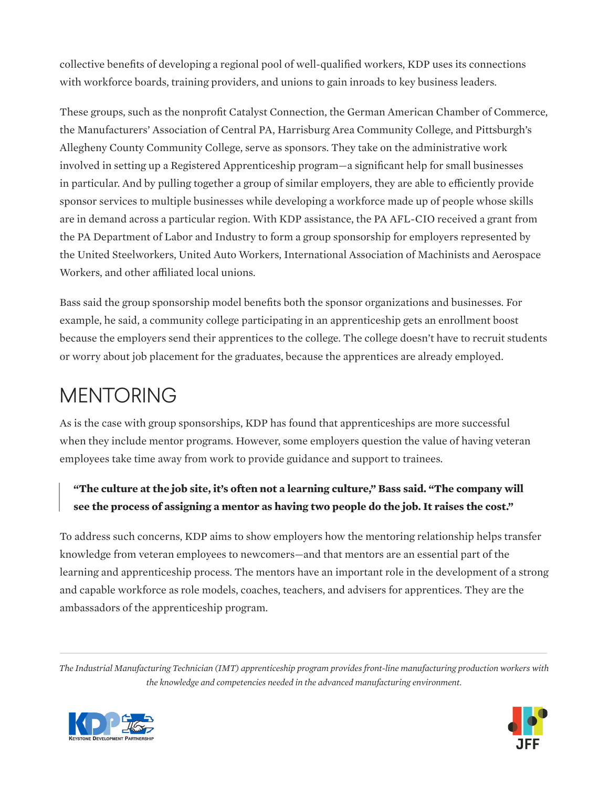collective benefits of developing a regional pool of well-qualified workers, KDP uses its connections with workforce boards, training providers, and unions to gain inroads to key business leaders.

These groups, such as the nonprofit Catalyst Connection, the German American Chamber of Commerce, the Manufacturers' Association of Central PA, Harrisburg Area Community College, and Pittsburgh's Allegheny County Community College, serve as sponsors. They take on the administrative work involved in setting up a Registered Apprenticeship program—a significant help for small businesses in particular. And by pulling together a group of similar employers, they are able to efficiently provide sponsor services to multiple businesses while developing a workforce made up of people whose skills are in demand across a particular region. With KDP assistance, the PA AFL-CIO received a grant from the PA Department of Labor and Industry to form a group sponsorship for employers represented by the United Steelworkers, United Auto Workers, International Association of Machinists and Aerospace Workers, and other affiliated local unions.

Bass said the group sponsorship model benefits both the sponsor organizations and businesses. For example, he said, a community college participating in an apprenticeship gets an enrollment boost because the employers send their apprentices to the college. The college doesn't have to recruit students or worry about job placement for the graduates, because the apprentices are already employed.

### MENTORING

As is the case with group sponsorships, KDP has found that apprenticeships are more successful when they include mentor programs. However, some employers question the value of having veteran employees take time away from work to provide guidance and support to trainees.

#### **"The culture at the job site, it's often not a learning culture," Bass said. "The company will see the process of assigning a mentor as having two people do the job. It raises the cost."**

To address such concerns, KDP aims to show employers how the mentoring relationship helps transfer knowledge from veteran employees to newcomers—and that mentors are an essential part of the learning and apprenticeship process. The mentors have an important role in the development of a strong and capable workforce as role models, coaches, teachers, and advisers for apprentices. They are the ambassadors of the apprenticeship program.

*The Industrial Manufacturing Technician (IMT) apprenticeship program provides front-line manufacturing production workers with the knowledge and competencies needed in the advanced manufacturing environment.*